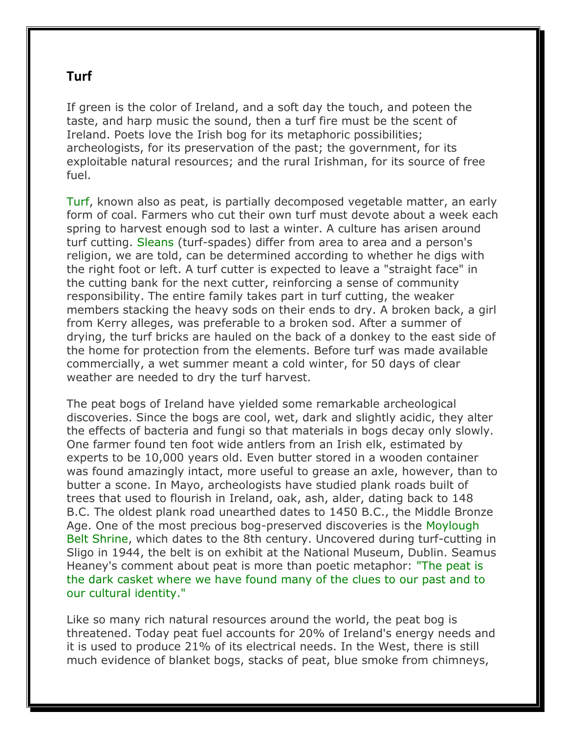## **Turf**

If green is the color of Ireland, and a soft day the touch, and poteen the taste, and harp music the sound, then a turf fire must be the scent of Ireland. Poets love the Irish bog for its metaphoric possibilities; archeologists, for its preservation of the past; the government, for its exploitable natural resources; and the rural Irishman, for its source of free fuel.

Turf, known also as peat, is partially decomposed vegetable matter, an early form of coal. Farmers who cut their own turf must devote about a week each spring to harvest enough sod to last a winter. A culture has arisen around turf cutting. Sleans (turf-spades) differ from area to area and a person's religion, we are told, can be determined according to whether he digs with the right foot or left. A turf cutter is expected to leave a "straight face" in the cutting bank for the next cutter, reinforcing a sense of community responsibility. The entire family takes part in turf cutting, the weaker members stacking the heavy sods on their ends to dry. A broken back, a girl from Kerry alleges, was preferable to a broken sod. After a summer of drying, the turf bricks are hauled on the back of a donkey to the east side of the home for protection from the elements. Before turf was made available commercially, a wet summer meant a cold winter, for 50 days of clear weather are needed to dry the turf harvest.

The peat bogs of Ireland have yielded some remarkable archeological discoveries. Since the bogs are cool, wet, dark and slightly acidic, they alter the effects of bacteria and fungi so that materials in bogs decay only slowly. One farmer found ten foot wide antlers from an Irish elk, estimated by experts to be 10,000 years old. Even butter stored in a wooden container was found amazingly intact, more useful to grease an axle, however, than to butter a scone. In Mayo, archeologists have studied plank roads built of trees that used to flourish in Ireland, oak, ash, alder, dating back to 148 B.C. The oldest plank road unearthed dates to 1450 B.C., the Middle Bronze Age. One of the most precious bog-preserved discoveries is the Moylough Belt Shrine, which dates to the 8th century. Uncovered during turf-cutting in Sligo in 1944, the belt is on exhibit at the National Museum, Dublin. Seamus Heaney's comment about peat is more than poetic metaphor: "The peat is the dark casket where we have found many of the clues to our past and to our cultural identity."

Like so many rich natural resources around the world, the peat bog is threatened. Today peat fuel accounts for 20% of Ireland's energy needs and it is used to produce 21% of its electrical needs. In the West, there is still much evidence of blanket bogs, stacks of peat, blue smoke from chimneys,